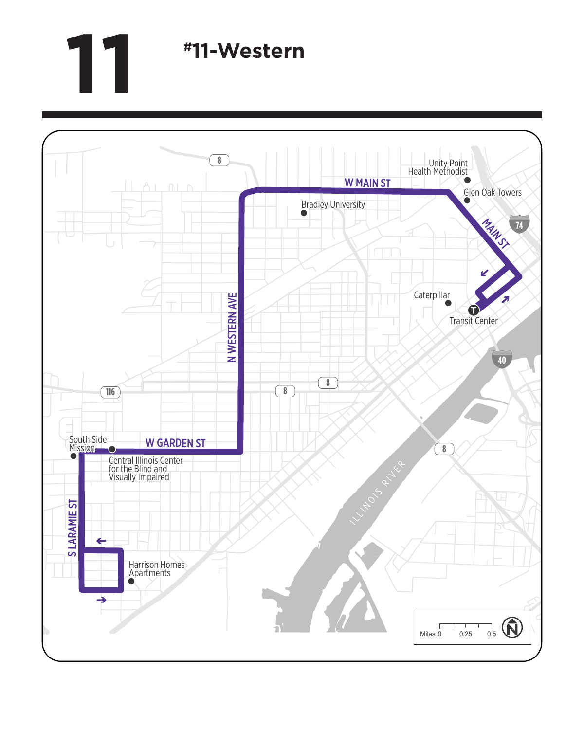## **11 #11-Western**